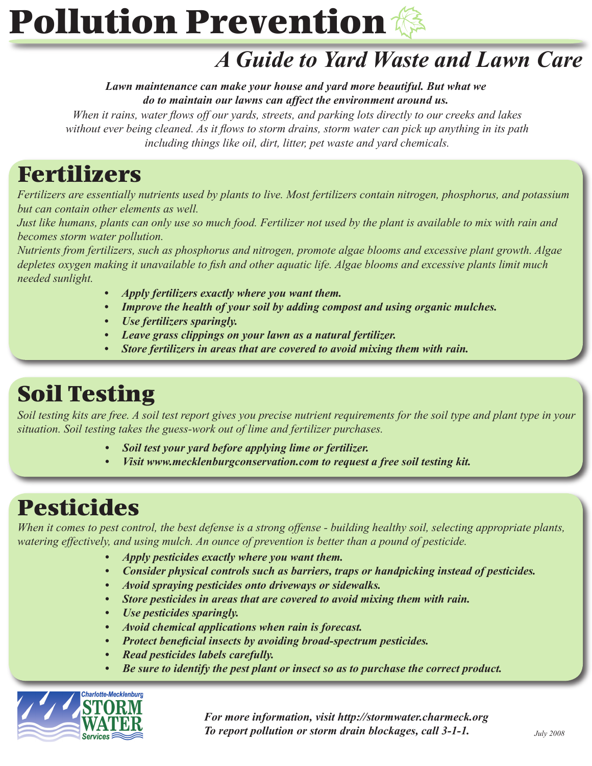# **Pollution Prevention**

### *A Guide to Yard Waste and Lawn Care*

*Lawn maintenance can make your house and yard more beautiful. But what we do to maintain our lawns can affect the environment around us.* 

*When it rains, water flows off our yards, streets, and parking lots directly to our creeks and lakes without ever being cleaned. As it flows to storm drains, storm water can pick up anything in its path including things like oil, dirt, litter, pet waste and yard chemicals.*

# Fertilizers

*Fertilizers are essentially nutrients used by plants to live. Most fertilizers contain nitrogen, phosphorus, and potassium but can contain other elements as well.* 

*Just like humans, plants can only use so much food. Fertilizer not used by the plant is available to mix with rain and becomes storm water pollution.*

*Nutrients from fertilizers, such as phosphorus and nitrogen, promote algae blooms and excessive plant growth. Algae depletes oxygen making it unavailable to fish and other aquatic life. Algae blooms and excessive plants limit much needed sunlight.*

- *Apply fertilizers exactly where you want them. •*
- *Improve the health of your soil by adding compost and using organic mulches. •*
- *Use fertilizers sparingly. •*
- *Leave grass clippings on your lawn as a natural fertilizer. •*
- *Store fertilizers in areas that are covered to avoid mixing them with rain. •*

### Soil Testing

*Soil testing kits are free. A soil test report gives you precise nutrient requirements for the soil type and plant type in your situation. Soil testing takes the guess-work out of lime and fertilizer purchases.*

- *Soil test your yard before applying lime or fertilizer. •*
- *Visit www.mecklenburgconservation.com to request a free soil testing kit. •*

#### Pesticides

*When it comes to pest control, the best defense is a strong offense - building healthy soil, selecting appropriate plants, watering effectively, and using mulch. An ounce of prevention is better than a pound of pesticide.*

- *Apply pesticides exactly where you want them. •*
- *Consider physical controls such as barriers, traps or handpicking instead of pesticides. •*
- *Avoid spraying pesticides onto driveways or sidewalks. •*
- *Store pesticides in areas that are covered to avoid mixing them with rain. •*
- *Use pesticides sparingly. •*
- *Avoid chemical applications when rain is forecast. •*
- *Protect beneficial insects by avoiding broad-spectrum pesticides. •*
- *Read pesticides labels carefully. •*
- *Be sure to identify the pest plant or insect so as to purchase the correct product. •*



*For more information, visit http://stormwater.charmeck.org To report pollution or storm drain blockages, call 3-1-1. July 2008*